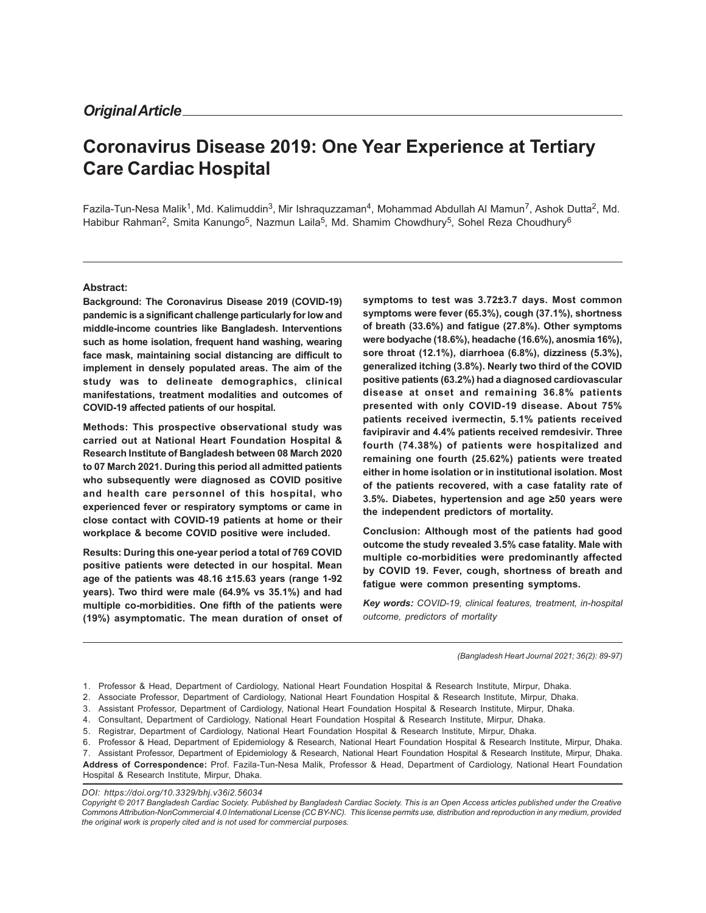# **Coronavirus Disease 2019: One Year Experience at Tertiary Care Cardiac Hospital**

Fazila-Tun-Nesa Malik<sup>1</sup>, Md. Kalimuddin<sup>3</sup>, Mir Ishraquzzaman<sup>4</sup>, Mohammad Abdullah Al Mamun<sup>7</sup>, Ashok Dutta<sup>2</sup>, Md. Habibur Rahman<sup>2</sup>, Smita Kanungo<sup>5</sup>, Nazmun Laila<sup>5</sup>, Md. Shamim Chowdhury<sup>5</sup>, Sohel Reza Choudhury<sup>6</sup>

#### **Abstract:**

**Background: The Coronavirus Disease 2019 (COVID-19) pandemic is a significant challenge particularly for low and middle-income countries like Bangladesh. Interventions such as home isolation, frequent hand washing, wearing face mask, maintaining social distancing are difficult to implement in densely populated areas. The aim of the study was to delineate demographics, clinical manifestations, treatment modalities and outcomes of COVID-19 affected patients of our hospital.**

**Methods: This prospective observational study was carried out at National Heart Foundation Hospital & Research Institute of Bangladesh between 08 March 2020 to 07 March 2021. During this period all admitted patients who subsequently were diagnosed as COVID positive and health care personnel of this hospital, who experienced fever or respiratory symptoms or came in close contact with COVID-19 patients at home or their workplace & become COVID positive were included.**

**Results: During this one-year period a total of 769 COVID positive patients were detected in our hospital. Mean age of the patients was 48.16 ±15.63 years (range 1-92 years). Two third were male (64.9% vs 35.1%) and had multiple co-morbidities. One fifth of the patients were (19%) asymptomatic. The mean duration of onset of** **symptoms to test was 3.72±3.7 days. Most common symptoms were fever (65.3%), cough (37.1%), shortness of breath (33.6%) and fatigue (27.8%). Other symptoms were bodyache (18.6%), headache (16.6%), anosmia 16%), sore throat (12.1%), diarrhoea (6.8%), dizziness (5.3%), generalized itching (3.8%). Nearly two third of the COVID positive patients (63.2%) had a diagnosed cardiovascular disease at onset and remaining 36.8% patients presented with only COVID-19 disease. About 75% patients received ivermectin, 5.1% patients received favipiravir and 4.4% patients received remdesivir. Three fourth (74.38%) of patients were hospitalized and remaining one fourth (25.62%) patients were treated either in home isolation or in institutional isolation. Most of the patients recovered, with a case fatality rate of 3.5%. Diabetes, hypertension and age** ≥**50 years were the independent predictors of mortality.**

**Conclusion: Although most of the patients had good outcome the study revealed 3.5% case fatality. Male with multiple co-morbidities were predominantly affected by COVID 19. Fever, cough, shortness of breath and fatigue were common presenting symptoms.**

*Key words: COVID-19, clinical features, treatment, in-hospital outcome, predictors of mortality*

*(Bangladesh Heart Journal 2021; 36(2): 89-97)*

**Address of Correspondence:** Prof. Fazila-Tun-Nesa Malik, Professor & Head, Department of Cardiology, National Heart Foundation Hospital & Research Institute, Mirpur, Dhaka.

#### *DOI: https://doi.org/10.3329/bhj.v36i2.56034*

<sup>1.</sup> Professor & Head, Department of Cardiology, National Heart Foundation Hospital & Research Institute, Mirpur, Dhaka.

<sup>2.</sup> Associate Professor, Department of Cardiology, National Heart Foundation Hospital & Research Institute, Mirpur, Dhaka.

<sup>3.</sup> Assistant Professor, Department of Cardiology, National Heart Foundation Hospital & Research Institute, Mirpur, Dhaka.

<sup>4.</sup> Consultant, Department of Cardiology, National Heart Foundation Hospital & Research Institute, Mirpur, Dhaka.

<sup>5.</sup> Registrar, Department of Cardiology, National Heart Foundation Hospital & Research Institute, Mirpur, Dhaka.

<sup>6.</sup> Professor & Head, Department of Epidemiology & Research, National Heart Foundation Hospital & Research Institute, Mirpur, Dhaka.

<sup>7.</sup> Assistant Professor, Department of Epidemiology & Research, National Heart Foundation Hospital & Research Institute, Mirpur, Dhaka.

*Copyright © 2017 Bangladesh Cardiac Society. Published by Bangladesh Cardiac Society. This is an Open Access articles published under the Creative Commons Attribution-NonCommercial 4.0 International License (CC BY-NC). This license permits use, distribution and reproduction in any medium, provided the original work is properly cited and is not used for commercial purposes.*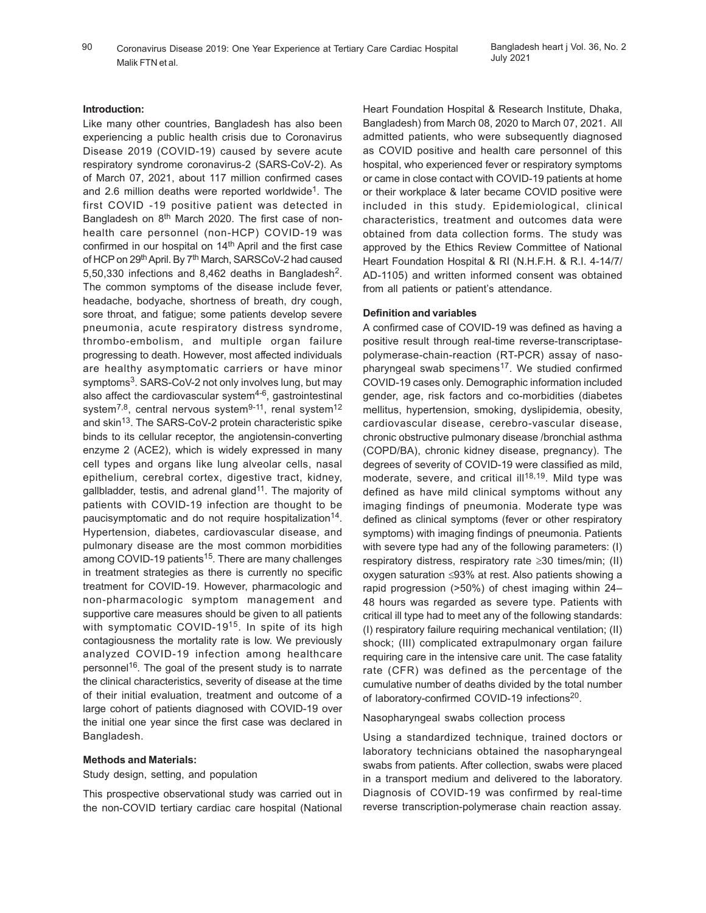90 Coronavirus Disease 2019: One Year Experience at Tertiary Care Cardiac Hospital Bangladesh heart j Vol. 36, No. 2 Malik FTN et al.

#### **Introduction:**

Like many other countries, Bangladesh has also been experiencing a public health crisis due to Coronavirus Disease 2019 (COVID-19) caused by severe acute respiratory syndrome coronavirus-2 (SARS-CoV-2). As of March 07, 2021, about 117 million confirmed cases and 2.6 million deaths were reported worldwide<sup>1</sup>. The first COVID -19 positive patient was detected in Bangladesh on 8th March 2020. The first case of nonhealth care personnel (non-HCP) COVID-19 was confirmed in our hospital on 14<sup>th</sup> April and the first case of HCP on 29<sup>th</sup> April. By 7<sup>th</sup> March, SARSCoV-2 had caused 5,50,330 infections and 8,462 deaths in Bangladesh<sup>2</sup>. The common symptoms of the disease include fever, headache, bodyache, shortness of breath, dry cough, sore throat, and fatigue; some patients develop severe pneumonia, acute respiratory distress syndrome, thrombo-embolism, and multiple organ failure progressing to death. However, most affected individuals are healthy asymptomatic carriers or have minor symptoms<sup>3</sup>. SARS-CoV-2 not only involves lung, but may also affect the cardiovascular system<sup>4-6</sup>, gastrointestinal system<sup>7,8</sup>, central nervous system<sup>9-11</sup>, renal system<sup>12</sup> and skin<sup>13</sup>. The SARS-CoV-2 protein characteristic spike binds to its cellular receptor, the angiotensin-converting enzyme 2 (ACE2), which is widely expressed in many cell types and organs like lung alveolar cells, nasal epithelium, cerebral cortex, digestive tract, kidney, gallbladder, testis, and adrenal gland<sup>11</sup>. The majority of patients with COVID-19 infection are thought to be paucisymptomatic and do not require hospitalization<sup>14</sup>. Hypertension, diabetes, cardiovascular disease, and pulmonary disease are the most common morbidities among COVID-19 patients<sup>15</sup>. There are many challenges in treatment strategies as there is currently no specific treatment for COVID-19. However, pharmacologic and non-pharmacologic symptom management and supportive care measures should be given to all patients with symptomatic COVID-19<sup>15</sup>. In spite of its high contagiousness the mortality rate is low. We previously analyzed COVID-19 infection among healthcare personnel<sup>16</sup>. The goal of the present study is to narrate the clinical characteristics, severity of disease at the time of their initial evaluation, treatment and outcome of a large cohort of patients diagnosed with COVID-19 over the initial one year since the first case was declared in Bangladesh.

#### **Methods and Materials:**

Study design, setting, and population

This prospective observational study was carried out in the non-COVID tertiary cardiac care hospital (National Heart Foundation Hospital & Research Institute, Dhaka, Bangladesh) from March 08, 2020 to March 07, 2021. All admitted patients, who were subsequently diagnosed as COVID positive and health care personnel of this hospital, who experienced fever or respiratory symptoms or came in close contact with COVID-19 patients at home or their workplace & later became COVID positive were included in this study. Epidemiological, clinical characteristics, treatment and outcomes data were obtained from data collection forms. The study was approved by the Ethics Review Committee of National Heart Foundation Hospital & RI (N.H.F.H. & R.I. 4-14/7/ AD-1105) and written informed consent was obtained from all patients or patient's attendance.

### **Definition and variables**

A confirmed case of COVID-19 was defined as having a positive result through real-time reverse-transcriptasepolymerase-chain-reaction (RT-PCR) assay of nasopharyngeal swab specimens<sup>17</sup>. We studied confirmed COVID-19 cases only. Demographic information included gender, age, risk factors and co-morbidities (diabetes mellitus, hypertension, smoking, dyslipidemia, obesity, cardiovascular disease, cerebro-vascular disease, chronic obstructive pulmonary disease /bronchial asthma (COPD/BA), chronic kidney disease, pregnancy). The degrees of severity of COVID-19 were classified as mild, moderate, severe, and critical ill<sup>18,19</sup>. Mild type was defined as have mild clinical symptoms without any imaging findings of pneumonia. Moderate type was defined as clinical symptoms (fever or other respiratory symptoms) with imaging findings of pneumonia. Patients with severe type had any of the following parameters: (I) respiratory distress, respiratory rate ≥30 times/min; (II) oxygen saturation ≤93% at rest. Also patients showing a rapid progression (>50%) of chest imaging within 24– 48 hours was regarded as severe type. Patients with critical ill type had to meet any of the following standards: (I) respiratory failure requiring mechanical ventilation; (II) shock; (III) complicated extrapulmonary organ failure requiring care in the intensive care unit. The case fatality rate (CFR) was defined as the percentage of the cumulative number of deaths divided by the total number of laboratory-confirmed COVID-19 infections<sup>20</sup>.

Nasopharyngeal swabs collection process

Using a standardized technique, trained doctors or laboratory technicians obtained the nasopharyngeal swabs from patients. After collection, swabs were placed in a transport medium and delivered to the laboratory. Diagnosis of COVID-19 was confirmed by real-time reverse transcription-polymerase chain reaction assay.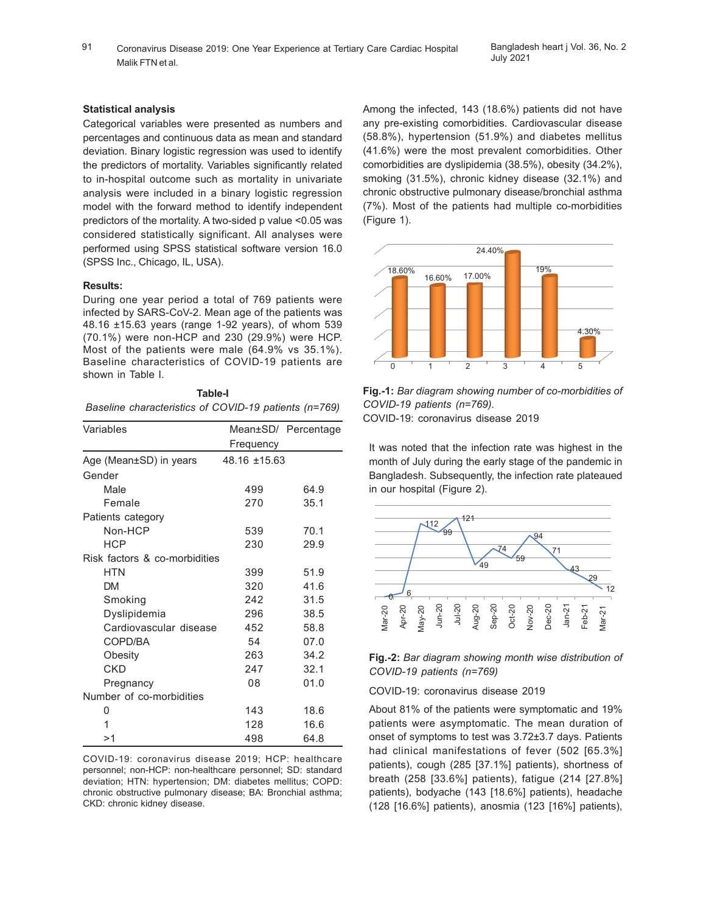91 Coronavirus Disease 2019: One Year Experience at Tertiary Care Cardiac Hospital Bangladesh heart j Vol. 36, No. 2 Malik FTN et al.

## **Statistical analysis**

Categorical variables were presented as numbers and percentages and continuous data as mean and standard deviation. Binary logistic regression was used to identify the predictors of mortality. Variables significantly related to in-hospital outcome such as mortality in univariate analysis were included in a binary logistic regression model with the forward method to identify independent predictors of the mortality. A two-sided p value <0.05 was considered statistically significant. All analyses were performed using SPSS statistical software version 16.0 (SPSS Inc., Chicago, IL, USA).

## **Results:**

During one year period a total of 769 patients were infected by SARS-CoV-2. Mean age of the patients was 48.16 ±15.63 years (range 1-92 years), of whom 539 (70.1%) were non-HCP and 230 (29.9%) were HCP. Most of the patients were male (64.9% vs 35.1%). Baseline characteristics of COVID-19 patients are shown in Table I.

|                                                       | Table-I |  |  |
|-------------------------------------------------------|---------|--|--|
| Baseline characteristics of COVID-19 patients (n=769) |         |  |  |

| Variables                     |                   | Mean±SD/ Percentage |  |  |
|-------------------------------|-------------------|---------------------|--|--|
|                               | Frequency         |                     |  |  |
| Age (Mean±SD) in years        | $48.16 \pm 15.63$ |                     |  |  |
| Gender                        |                   |                     |  |  |
| Male                          | 499               | 64.9                |  |  |
| Female                        | 270               | 35.1                |  |  |
| Patients category             |                   |                     |  |  |
| Non-HCP                       | 539               | 70.1                |  |  |
| <b>HCP</b>                    | 230               | 29.9                |  |  |
| Risk factors & co-morbidities |                   |                     |  |  |
| <b>HTN</b>                    | 399               | 51.9                |  |  |
| <b>DM</b>                     | 320               | 41.6                |  |  |
| Smoking                       | 242               | 31.5                |  |  |
| Dyslipidemia                  | 296               | 38.5                |  |  |
| Cardiovascular disease        | 452               | 58.8                |  |  |
| COPD/BA                       | 54                | 07.0                |  |  |
| Obesity                       | 263               | 34.2                |  |  |
| <b>CKD</b>                    | 247               | 32.1                |  |  |
| Pregnancy                     | 08                | 01.0                |  |  |
| Number of co-morbidities      |                   |                     |  |  |
| 0                             | 143               | 18.6                |  |  |
| 1                             | 128               | 16.6                |  |  |
| >1                            | 498               | 64.8                |  |  |

COVID-19: coronavirus disease 2019; HCP: healthcare personnel; non-HCP: non-healthcare personnel; SD: standard deviation; HTN: hypertension; DM: diabetes mellitus; COPD: chronic obstructive pulmonary disease; BA: Bronchial asthma; CKD: chronic kidney disease.

Among the infected, 143 (18.6%) patients did not have any pre-existing comorbidities. Cardiovascular disease (58.8%), hypertension (51.9%) and diabetes mellitus (41.6%) were the most prevalent comorbidities. Other comorbidities are dyslipidemia (38.5%), obesity (34.2%), smoking (31.5%), chronic kidney disease (32.1%) and chronic obstructive pulmonary disease/bronchial asthma (7%). Most of the patients had multiple co-morbidities (Figure 1).



**Fig.-1:** *Bar diagram showing number of co-morbidities of COVID-19 patients (n=769).* COVID-19: coronavirus disease 2019

It was noted that the infection rate was highest in the month of July during the early stage of the pandemic in Bangladesh. Subsequently, the infection rate plateaued in our hospital (Figure 2).





COVID-19: coronavirus disease 2019

About 81% of the patients were symptomatic and 19% patients were asymptomatic. The mean duration of onset of symptoms to test was 3.72±3.7 days. Patients had clinical manifestations of fever (502 [65.3%] patients), cough (285 [37.1%] patients), shortness of breath (258 [33.6%] patients), fatigue (214 [27.8%] patients), bodyache (143 [18.6%] patients), headache (128 [16.6%] patients), anosmia (123 [16%] patients),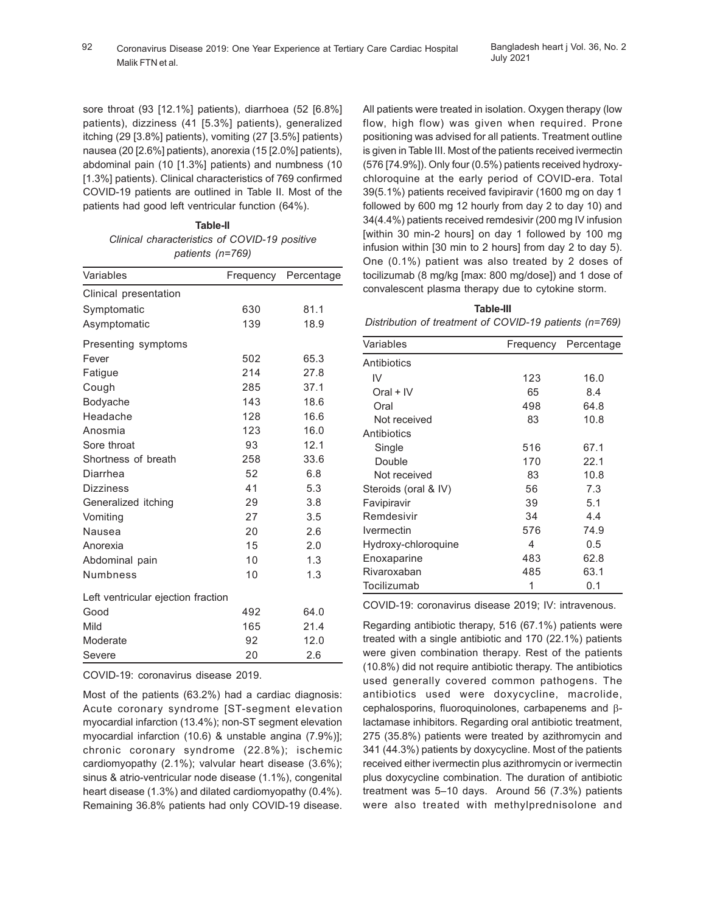sore throat (93 [12.1%] patients), diarrhoea (52 [6.8%] patients), dizziness (41 [5.3%] patients), generalized itching (29 [3.8%] patients), vomiting (27 [3.5%] patients) nausea (20 [2.6%] patients), anorexia (15 [2.0%] patients), abdominal pain (10 [1.3%] patients) and numbness (10 [1.3%] patients). Clinical characteristics of 769 confirmed COVID-19 patients are outlined in Table II. Most of the patients had good left ventricular function (64%).

> **Table-II** *Clinical characteristics of COVID-19 positive patients (n=769)*

| Variables                          | Frequency | Percentage |
|------------------------------------|-----------|------------|
| Clinical presentation              |           |            |
| Symptomatic                        | 630       | 81.1       |
| Asymptomatic                       | 139       | 18.9       |
| Presenting symptoms                |           |            |
| Fever                              | 502       | 65.3       |
| Fatigue                            | 214       | 27.8       |
| Cough                              | 285       | 37.1       |
| Bodyache                           | 143       | 18.6       |
| Headache                           | 128       | 16.6       |
| Anosmia                            | 123       | 16.0       |
| Sore throat                        | 93        | 12.1       |
| Shortness of breath                | 258       | 33.6       |
| Diarrhea                           | 52        | 6.8        |
| <b>Dizziness</b>                   | 41        | 5.3        |
| Generalized itching                | 29        | 3.8        |
| Vomiting                           | 27        | 3.5        |
| Nausea                             | 20        | 2.6        |
| Anorexia                           | 15        | 2.0        |
| Abdominal pain                     | 10        | 1.3        |
| <b>Numbness</b>                    | 10        | 1.3        |
| Left ventricular ejection fraction |           |            |
| Good                               | 492       | 64.0       |
| Mild                               | 165       | 21.4       |
| Moderate                           | 92        | 12.0       |
| Severe                             | 20        | 2.6        |

COVID-19: coronavirus disease 2019.

Most of the patients (63.2%) had a cardiac diagnosis: Acute coronary syndrome [ST-segment elevation myocardial infarction (13.4%); non-ST segment elevation myocardial infarction (10.6) & unstable angina (7.9%)]; chronic coronary syndrome (22.8%); ischemic cardiomyopathy (2.1%); valvular heart disease (3.6%); sinus & atrio-ventricular node disease (1.1%), congenital heart disease (1.3%) and dilated cardiomyopathy (0.4%). Remaining 36.8% patients had only COVID-19 disease. All patients were treated in isolation. Oxygen therapy (low flow, high flow) was given when required. Prone positioning was advised for all patients. Treatment outline is given in Table III. Most of the patients received ivermectin (576 [74.9%]). Only four (0.5%) patients received hydroxychloroquine at the early period of COVID-era. Total 39(5.1%) patients received favipiravir (1600 mg on day 1 followed by 600 mg 12 hourly from day 2 to day 10) and 34(4.4%) patients received remdesivir (200 mg IV infusion [within 30 min-2 hours] on day 1 followed by 100 mg infusion within [30 min to 2 hours] from day 2 to day 5). One (0.1%) patient was also treated by 2 doses of tocilizumab (8 mg/kg [max: 800 mg/dose]) and 1 dose of convalescent plasma therapy due to cytokine storm.

**Table-III** *Distribution of treatment of COVID-19 patients (n=769)*

| Variables                       | Frequency | Percentage |  |
|---------------------------------|-----------|------------|--|
| Antibiotics                     |           |            |  |
| IV                              | 123       | 16.0       |  |
| Oral + IV                       | 65        | 8.4        |  |
| Oral                            | 498       | 64.8       |  |
| Not received                    | 83        | 10.8       |  |
| Antibiotics                     |           |            |  |
| Single                          | 516       | 67.1       |  |
| Double                          | 170       | 22.1       |  |
| Not received                    | 83        | 10.8       |  |
| Steroids (oral & IV)            | 56        | 7.3        |  |
| Favipiravir                     | 39        | 5.1        |  |
| Remdesivir                      | 34        | 4.4        |  |
| <i><u><b>Ivermectin</b></u></i> | 576       | 74.9       |  |
| Hydroxy-chloroquine             | 4         | 0.5        |  |
| Enoxaparine                     | 483       | 62.8       |  |
| Rivaroxaban                     | 485       | 63.1       |  |
| Tocilizumab                     | 1         | 0.1        |  |

COVID-19: coronavirus disease 2019; IV: intravenous.

Regarding antibiotic therapy, 516 (67.1%) patients were treated with a single antibiotic and 170 (22.1%) patients were given combination therapy. Rest of the patients (10.8%) did not require antibiotic therapy. The antibiotics used generally covered common pathogens. The antibiotics used were doxycycline, macrolide, cephalosporins, fluoroquinolones, carbapenems and βlactamase inhibitors. Regarding oral antibiotic treatment, 275 (35.8%) patients were treated by azithromycin and 341 (44.3%) patients by doxycycline. Most of the patients received either ivermectin plus azithromycin or ivermectin plus doxycycline combination. The duration of antibiotic treatment was 5–10 days. Around 56 (7.3%) patients were also treated with methylprednisolone and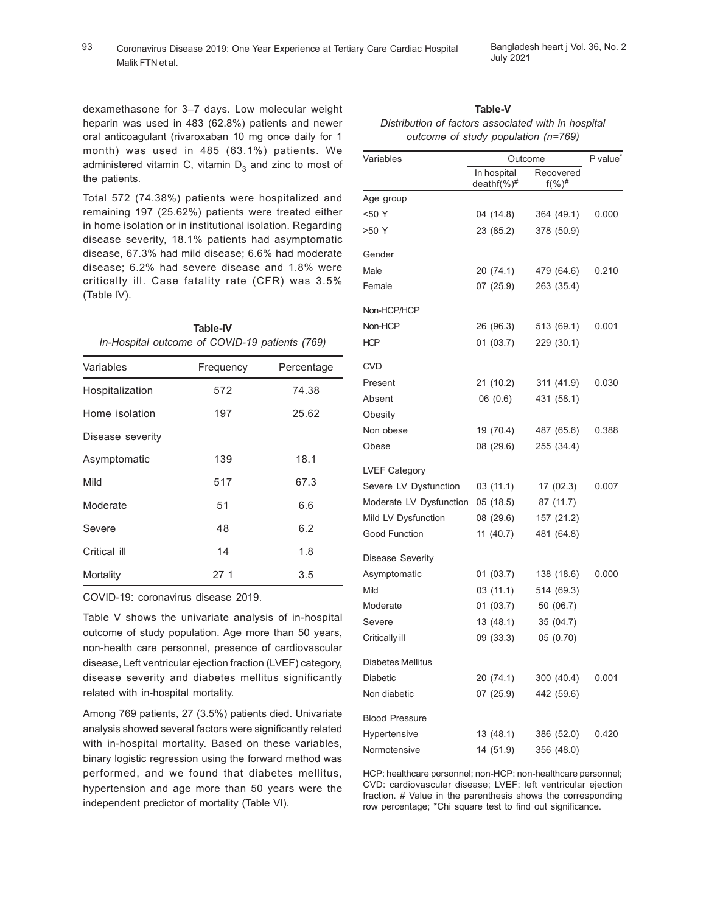## 93 Coronavirus Disease 2019: One Year Experience at Tertiary Care Cardiac Hospital Bangladesh heart j Vol. 36, No. 2 Malik FTN et al.

dexamethasone for 3–7 days. Low molecular weight heparin was used in 483 (62.8%) patients and newer oral anticoagulant (rivaroxaban 10 mg once daily for 1 month) was used in 485 (63.1%) patients. We administered vitamin C, vitamin  $\mathsf{D}_3$  and zinc to most of the patients.

Total 572 (74.38%) patients were hospitalized and remaining 197 (25.62%) patients were treated either in home isolation or in institutional isolation. Regarding disease severity, 18.1% patients had asymptomatic disease, 67.3% had mild disease; 6.6% had moderate disease; 6.2% had severe disease and 1.8% were critically ill. Case fatality rate (CFR) was 3.5% (Table IV).

**Table-IV** *In-Hospital outcome of COVID-19 patients (769)*

| Variables        | Frequency    | Percentage |  |
|------------------|--------------|------------|--|
| Hospitalization  | 572          | 74.38      |  |
| Home isolation   | 197<br>25.62 |            |  |
| Disease severity |              |            |  |
| Asymptomatic     | 139          | 18.1       |  |
| Mild             | 517          | 67.3       |  |
| Moderate         | 51           | 6.6        |  |
| Severe           | 48           | 6.2        |  |
| Critical ill     | 14           | 1.8        |  |
| Mortality        | 27 1         | 3.5        |  |

COVID-19: coronavirus disease 2019.

Table V shows the univariate analysis of in-hospital outcome of study population. Age more than 50 years, non-health care personnel, presence of cardiovascular disease, Left ventricular ejection fraction (LVEF) category, disease severity and diabetes mellitus significantly related with in-hospital mortality.

Among 769 patients, 27 (3.5%) patients died. Univariate analysis showed several factors were significantly related with in-hospital mortality. Based on these variables, binary logistic regression using the forward method was performed, and we found that diabetes mellitus, hypertension and age more than 50 years were the independent predictor of mortality (Table VI).

| Variables               | Outcome            | P value <sup>®</sup> |       |
|-------------------------|--------------------|----------------------|-------|
|                         | In hospital        | Recovered            |       |
|                         | deathf $(\%)^{\#}$ | $f(\%)^{\#}$         |       |
| Age group               |                    |                      |       |
| <50 Y                   | 04 (14.8)          | 364 (49.1)           | 0.000 |
| >50 Y                   | 23 (85.2)          | 378 (50.9)           |       |
| Gender                  |                    |                      |       |
| Male                    | 20 (74.1)          | 479 (64.6)           | 0.210 |
| Female                  | 07 (25.9)          | 263 (35.4)           |       |
| Non-HCP/HCP             |                    |                      |       |
| Non-HCP                 | 26 (96.3)          | 513 (69.1)           | 0.001 |
| <b>HCP</b>              | 01 (03.7)          | 229 (30.1)           |       |
| CVD                     |                    |                      |       |
| Present                 | 21 (10.2)          | 311 (41.9)           | 0.030 |
| Absent                  | 06 (0.6)           | 431 (58.1)           |       |
| Obesity                 |                    |                      |       |
| Non obese               | 19 (70.4)          | 487 (65.6)           | 0.388 |
| Obese                   | 08 (29.6)          | 255 (34.4)           |       |
| <b>LVEF Category</b>    |                    |                      |       |
| Severe LV Dysfunction   | 03(11.1)           | 17(02.3)             | 0.007 |
| Moderate LV Dysfunction | 05 (18.5)          | 87 (11.7)            |       |
| Mild LV Dysfunction     | 08 (29.6)          | 157 (21.2)           |       |
| Good Function           | 11(40.7)           | 481 (64.8)           |       |
| Disease Severity        |                    |                      |       |
| Asymptomatic            | 01 (03.7)          | 138 (18.6)           | 0.000 |
| Mild                    | 03 (11.1)          | 514 (69.3)           |       |
| Moderate                | 01 (03.7)          | 50 (06.7)            |       |
| Severe                  | 13(48.1)           | 35 (04.7)            |       |
| Critically ill          | 09 (33.3)          | 05 (0.70)            |       |
| Diabetes Mellitus       |                    |                      |       |
| <b>Diabetic</b>         | 20 (74.1)          | 300 (40.4)           | 0.001 |
| Non diabetic            | 07(25.9)           | 442 (59.6)           |       |
| <b>Blood Pressure</b>   |                    |                      |       |
| Hypertensive            | 13 (48.1)          | 386 (52.0)           | 0.420 |
| Normotensive            | 14 (51.9)          | 356 (48.0)           |       |

**Table-V** *Distribution of factors associated with in hospital outcome of study population (n=769)*

HCP: healthcare personnel; non-HCP: non-healthcare personnel; CVD: cardiovascular disease; LVEF: left ventricular ejection fraction. # Value in the parenthesis shows the corresponding row percentage; \*Chi square test to find out significance.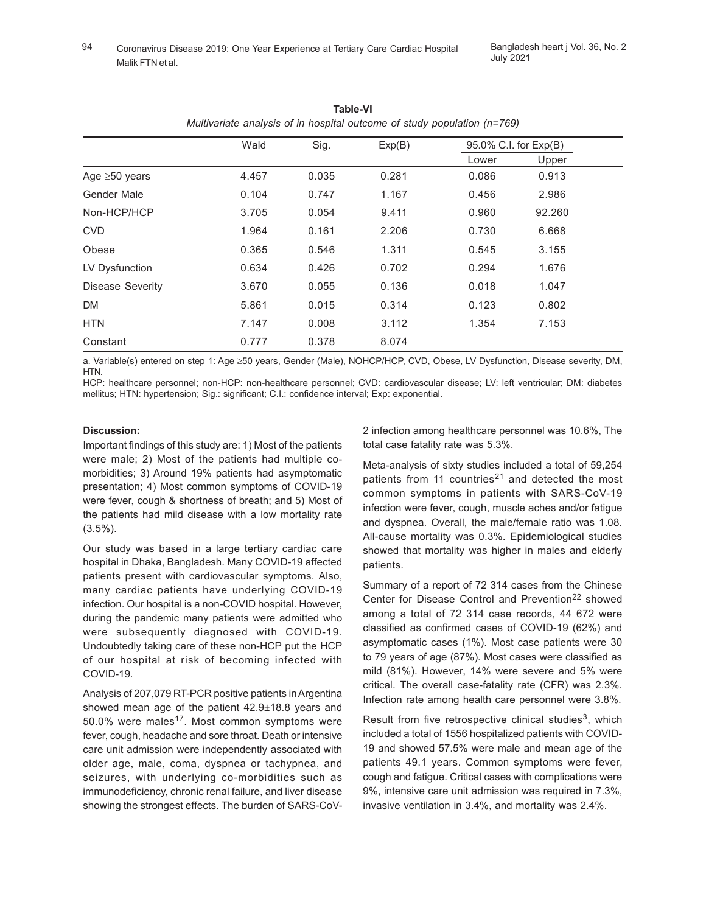|                         | Wald  | Sig.  | Exp(B) | 95.0% C.I. for Exp(B) |        |
|-------------------------|-------|-------|--------|-----------------------|--------|
|                         |       |       |        | Lower                 | Upper  |
| Age $\geq 50$ years     | 4.457 | 0.035 | 0.281  | 0.086                 | 0.913  |
| Gender Male             | 0.104 | 0.747 | 1.167  | 0.456                 | 2.986  |
| Non-HCP/HCP             | 3.705 | 0.054 | 9.411  | 0.960                 | 92.260 |
| <b>CVD</b>              | 1.964 | 0.161 | 2.206  | 0.730                 | 6.668  |
| Obese                   | 0.365 | 0.546 | 1.311  | 0.545                 | 3.155  |
| LV Dysfunction          | 0.634 | 0.426 | 0.702  | 0.294                 | 1.676  |
| <b>Disease Severity</b> | 3.670 | 0.055 | 0.136  | 0.018                 | 1.047  |
| <b>DM</b>               | 5.861 | 0.015 | 0.314  | 0.123                 | 0.802  |
| <b>HTN</b>              | 7.147 | 0.008 | 3.112  | 1.354                 | 7.153  |
| Constant                | 0.777 | 0.378 | 8.074  |                       |        |

**Table-VI** *Multivariate analysis of in hospital outcome of study population (n=769)*

a. Variable(s) entered on step 1: Age ≥50 years, Gender (Male), NOHCP/HCP, CVD, Obese, LV Dysfunction, Disease severity, DM, HTN.

HCP: healthcare personnel; non-HCP: non-healthcare personnel; CVD: cardiovascular disease; LV: left ventricular; DM: diabetes mellitus; HTN: hypertension; Sig.: significant; C.I.: confidence interval; Exp: exponential.

# **Discussion:**

Important findings of this study are: 1) Most of the patients were male; 2) Most of the patients had multiple comorbidities; 3) Around 19% patients had asymptomatic presentation; 4) Most common symptoms of COVID-19 were fever, cough & shortness of breath; and 5) Most of the patients had mild disease with a low mortality rate  $(3.5\%)$ .

Our study was based in a large tertiary cardiac care hospital in Dhaka, Bangladesh. Many COVID-19 affected patients present with cardiovascular symptoms. Also, many cardiac patients have underlying COVID-19 infection. Our hospital is a non-COVID hospital. However, during the pandemic many patients were admitted who were subsequently diagnosed with COVID-19. Undoubtedly taking care of these non-HCP put the HCP of our hospital at risk of becoming infected with COVID-19.

Analysis of 207,079 RT-PCR positive patients in Argentina showed mean age of the patient 42.9±18.8 years and  $50.0\%$  were males<sup>17</sup>. Most common symptoms were fever, cough, headache and sore throat. Death or intensive care unit admission were independently associated with older age, male, coma, dyspnea or tachypnea, and seizures, with underlying co-morbidities such as immunodeficiency, chronic renal failure, and liver disease showing the strongest effects. The burden of SARS-CoV- 2 infection among healthcare personnel was 10.6%, The total case fatality rate was 5.3%.

Meta-analysis of sixty studies included a total of 59,254 patients from 11 countries<sup>21</sup> and detected the most common symptoms in patients with SARS-CoV-19 infection were fever, cough, muscle aches and/or fatigue and dyspnea. Overall, the male/female ratio was 1.08. All-cause mortality was 0.3%. Epidemiological studies showed that mortality was higher in males and elderly patients.

Summary of a report of 72 314 cases from the Chinese Center for Disease Control and Prevention<sup>22</sup> showed among a total of 72 314 case records, 44 672 were classified as confirmed cases of COVID-19 (62%) and asymptomatic cases (1%). Most case patients were 30 to 79 years of age (87%). Most cases were classified as mild (81%). However, 14% were severe and 5% were critical. The overall case-fatality rate (CFR) was 2.3%. Infection rate among health care personnel were 3.8%.

Result from five retrospective clinical studies<sup>3</sup>, which included a total of 1556 hospitalized patients with COVID-19 and showed 57.5% were male and mean age of the patients 49.1 years. Common symptoms were fever, cough and fatigue. Critical cases with complications were 9%, intensive care unit admission was required in 7.3%, invasive ventilation in 3.4%, and mortality was 2.4%.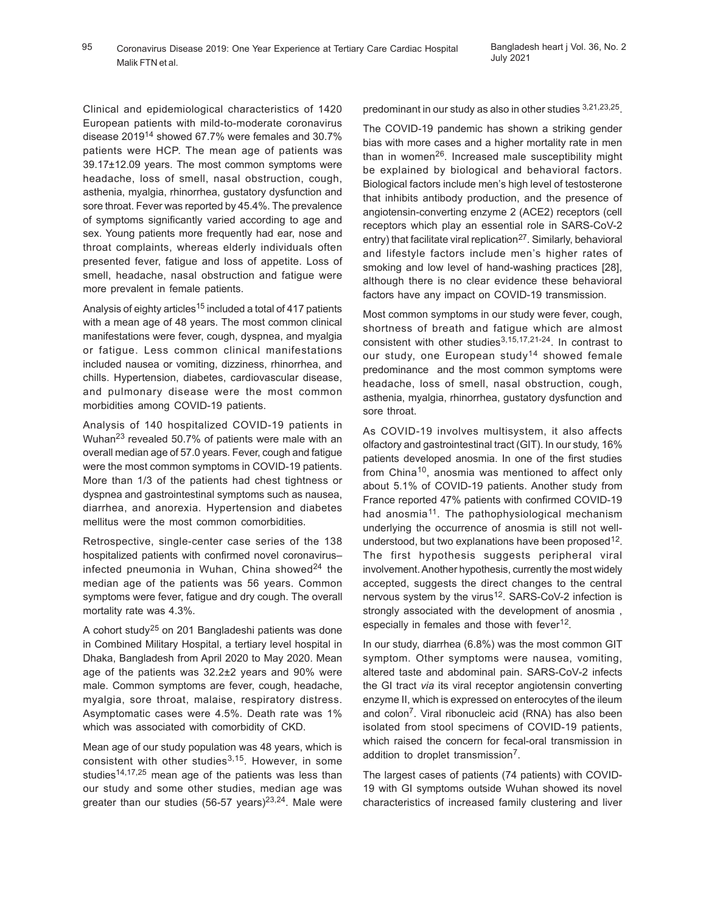Clinical and epidemiological characteristics of 1420 European patients with mild-to-moderate coronavirus disease 201914 showed 67.7% were females and 30.7% patients were HCP. The mean age of patients was 39.17±12.09 years. The most common symptoms were headache, loss of smell, nasal obstruction, cough, asthenia, myalgia, rhinorrhea, gustatory dysfunction and sore throat. Fever was reported by 45.4%. The prevalence of symptoms significantly varied according to age and sex. Young patients more frequently had ear, nose and throat complaints, whereas elderly individuals often presented fever, fatigue and loss of appetite. Loss of smell, headache, nasal obstruction and fatigue were more prevalent in female patients.

Analysis of eighty articles<sup>15</sup> included a total of 417 patients with a mean age of 48 years. The most common clinical manifestations were fever, cough, dyspnea, and myalgia or fatigue. Less common clinical manifestations included nausea or vomiting, dizziness, rhinorrhea, and chills. Hypertension, diabetes, cardiovascular disease, and pulmonary disease were the most common morbidities among COVID-19 patients.

Analysis of 140 hospitalized COVID-19 patients in Wuhan23 revealed 50.7% of patients were male with an overall median age of 57.0 years. Fever, cough and fatigue were the most common symptoms in COVID-19 patients. More than 1/3 of the patients had chest tightness or dyspnea and gastrointestinal symptoms such as nausea, diarrhea, and anorexia. Hypertension and diabetes mellitus were the most common comorbidities.

Retrospective, single-center case series of the 138 hospitalized patients with confirmed novel coronavirus– infected pneumonia in Wuhan, China showed $^{24}$  the median age of the patients was 56 years. Common symptoms were fever, fatigue and dry cough. The overall mortality rate was 4.3%.

A cohort study25 on 201 Bangladeshi patients was done in Combined Military Hospital, a tertiary level hospital in Dhaka, Bangladesh from April 2020 to May 2020. Mean age of the patients was 32.2±2 years and 90% were male. Common symptoms are fever, cough, headache, myalgia, sore throat, malaise, respiratory distress. Asymptomatic cases were 4.5%. Death rate was 1% which was associated with comorbidity of CKD.

Mean age of our study population was 48 years, which is consistent with other studies $3,15$ . However, in some studies<sup>14,17,25</sup> mean age of the patients was less than our study and some other studies, median age was greater than our studies (56-57 years) $2^{3,24}$ . Male were predominant in our study as also in other studies 3,21,23,25.

The COVID-19 pandemic has shown a striking gender bias with more cases and a higher mortality rate in men than in women<sup>26</sup>. Increased male susceptibility might be explained by biological and behavioral factors. Biological factors include men's high level of testosterone that inhibits antibody production, and the presence of angiotensin-converting enzyme 2 (ACE2) receptors (cell receptors which play an essential role in SARS-CoV-2 entry) that facilitate viral replication<sup>27</sup>. Similarly, behavioral and lifestyle factors include men's higher rates of smoking and low level of hand-washing practices [28], although there is no clear evidence these behavioral factors have any impact on COVID-19 transmission.

Most common symptoms in our study were fever, cough, shortness of breath and fatigue which are almost consistent with other studies<sup>3,15,17,21-24</sup>. In contrast to our study, one European study<sup>14</sup> showed female predominance and the most common symptoms were headache, loss of smell, nasal obstruction, cough, asthenia, myalgia, rhinorrhea, gustatory dysfunction and sore throat.

As COVID-19 involves multisystem, it also affects olfactory and gastrointestinal tract (GIT). In our study, 16% patients developed anosmia. In one of the first studies from China10, anosmia was mentioned to affect only about 5.1% of COVID-19 patients. Another study from France reported 47% patients with confirmed COVID-19 had anosmia<sup>11</sup>. The pathophysiological mechanism underlying the occurrence of anosmia is still not wellunderstood, but two explanations have been proposed<sup>12</sup>. The first hypothesis suggests peripheral viral involvement. Another hypothesis, currently the most widely accepted, suggests the direct changes to the central nervous system by the virus<sup>12</sup>. SARS-CoV-2 infection is strongly associated with the development of anosmia , especially in females and those with fever<sup>12</sup>.

In our study, diarrhea (6.8%) was the most common GIT symptom. Other symptoms were nausea, vomiting, altered taste and abdominal pain. SARS-CoV-2 infects the GI tract *via* its viral receptor angiotensin converting enzyme II, which is expressed on enterocytes of the ileum and colon<sup>7</sup>. Viral ribonucleic acid (RNA) has also been isolated from stool specimens of COVID-19 patients, which raised the concern for fecal-oral transmission in addition to droplet transmission<sup>7</sup>.

The largest cases of patients (74 patients) with COVID-19 with GI symptoms outside Wuhan showed its novel characteristics of increased family clustering and liver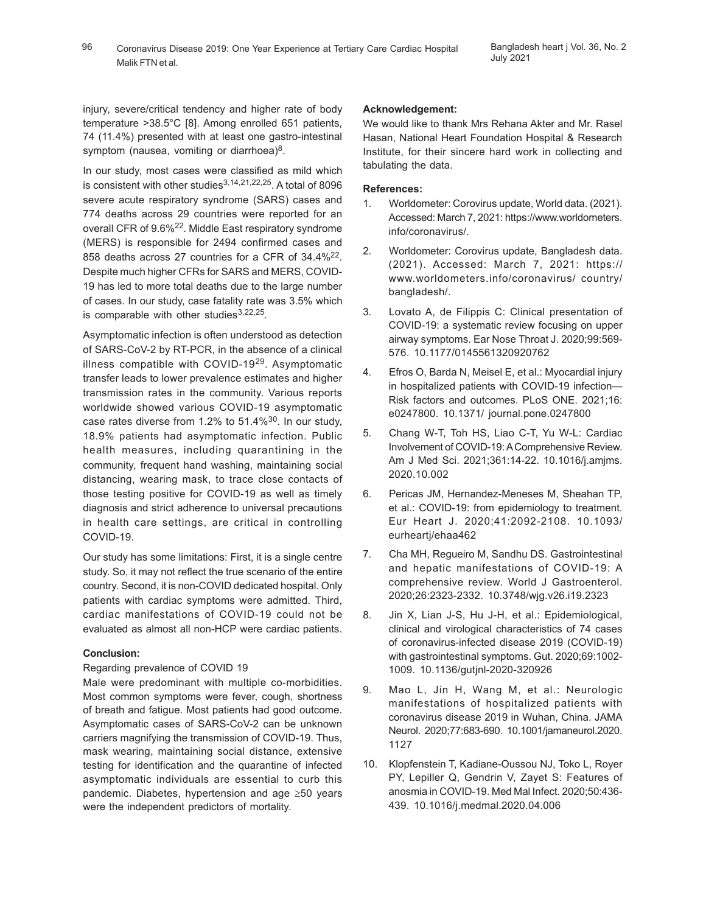injury, severe/critical tendency and higher rate of body temperature >38.5°C [8]. Among enrolled 651 patients, 74 (11.4%) presented with at least one gastro-intestinal symptom (nausea, vomiting or diarrhoea)<sup>8</sup>.

In our study, most cases were classified as mild which is consistent with other studies $3,14,21,22,25$ . A total of 8096 severe acute respiratory syndrome (SARS) cases and 774 deaths across 29 countries were reported for an overall CFR of 9.6%<sup>22</sup>. Middle East respiratory syndrome (MERS) is responsible for 2494 confirmed cases and 858 deaths across 27 countries for a CFR of 34.4%<sup>22</sup>. Despite much higher CFRs for SARS and MERS, COVID-19 has led to more total deaths due to the large number of cases. In our study, case fatality rate was 3.5% which is comparable with other studies<sup>3,22,25</sup>.

Asymptomatic infection is often understood as detection of SARS-CoV-2 by RT-PCR, in the absence of a clinical illness compatible with COVID-19<sup>29</sup>. Asymptomatic transfer leads to lower prevalence estimates and higher transmission rates in the community. Various reports worldwide showed various COVID-19 asymptomatic case rates diverse from 1.2% to 51.4%30. In our study, 18.9% patients had asymptomatic infection. Public health measures, including quarantining in the community, frequent hand washing, maintaining social distancing, wearing mask, to trace close contacts of those testing positive for COVID-19 as well as timely diagnosis and strict adherence to universal precautions in health care settings, are critical in controlling COVID-19.

Our study has some limitations: First, it is a single centre study. So, it may not reflect the true scenario of the entire country. Second, it is non-COVID dedicated hospital. Only patients with cardiac symptoms were admitted. Third, cardiac manifestations of COVID-19 could not be evaluated as almost all non-HCP were cardiac patients.

# **Conclusion:**

# Regarding prevalence of COVID 19

Male were predominant with multiple co-morbidities. Most common symptoms were fever, cough, shortness of breath and fatigue. Most patients had good outcome. Asymptomatic cases of SARS-CoV-2 can be unknown carriers magnifying the transmission of COVID-19. Thus, mask wearing, maintaining social distance, extensive testing for identification and the quarantine of infected asymptomatic individuals are essential to curb this pandemic. Diabetes, hypertension and age ≥50 years were the independent predictors of mortality.

## **Acknowledgement:**

We would like to thank Mrs Rehana Akter and Mr. Rasel Hasan, National Heart Foundation Hospital & Research Institute, for their sincere hard work in collecting and tabulating the data.

## **References:**

- 1. Worldometer: Corovirus update, World data. (2021). Accessed: March 7, 2021: https://www.worldometers. info/coronavirus/.
- 2. Worldometer: Corovirus update, Bangladesh data. (2021). Accessed: March 7, 2021: https:// www.worldometers.info/coronavirus/ country/ bangladesh/.
- 3. Lovato A, de Filippis C: Clinical presentation of COVID-19: a systematic review focusing on upper airway symptoms. Ear Nose Throat J. 2020;99:569- 576. 10.1177/0145561320920762
- 4. Efros O, Barda N, Meisel E, et al.: Myocardial injury in hospitalized patients with COVID-19 infection— Risk factors and outcomes. PLoS ONE. 2021;16: e0247800. 10.1371/ journal.pone.0247800
- 5. Chang W-T, Toh HS, Liao C-T, Yu W-L: Cardiac Involvement of COVID-19: A Comprehensive Review. Am J Med Sci. 2021;361:14-22. 10.1016/j.amjms. 2020.10.002
- 6. Pericas JM, Hernandez-Meneses M, Sheahan TP, et al.: COVID-19: from epidemiology to treatment. Eur Heart J. 2020;41:2092-2108. 10.1093/ eurheartj/ehaa462
- 7. Cha MH, Regueiro M, Sandhu DS. Gastrointestinal and hepatic manifestations of COVID-19: A comprehensive review. World J Gastroenterol. 2020;26:2323-2332. 10.3748/wjg.v26.i19.2323
- 8. Jin X, Lian J-S, Hu J-H, et al.: Epidemiological, clinical and virological characteristics of 74 cases of coronavirus-infected disease 2019 (COVID-19) with gastrointestinal symptoms. Gut. 2020;69:1002- 1009. 10.1136/gutjnl-2020-320926
- 9. Mao L, Jin H, Wang M, et al.: Neurologic manifestations of hospitalized patients with coronavirus disease 2019 in Wuhan, China. JAMA Neurol. 2020;77:683-690. 10.1001/jamaneurol.2020. 1127
- 10. Klopfenstein T, Kadiane-Oussou NJ, Toko L, Royer PY, Lepiller Q, Gendrin V, Zayet S: Features of anosmia in COVID-19. Med Mal Infect. 2020;50:436- 439. 10.1016/j.medmal.2020.04.006